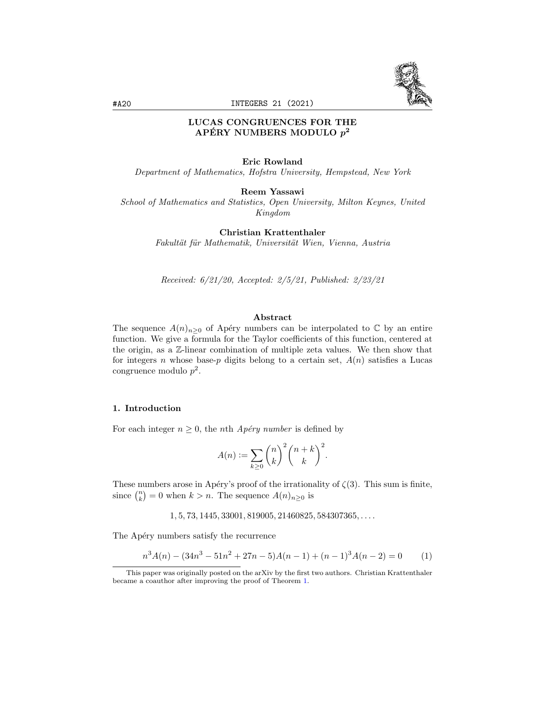

# LUCAS CONGRUENCES FOR THE APÉRY NUMBERS MODULO  $p^2$

#### Eric Rowland

Department of Mathematics, Hofstra University, Hempstead, New York

#### Reem Yassawi

School of Mathematics and Statistics, Open University, Milton Keynes, United Kingdom

## Christian Krattenthaler

Fakultät für Mathematik, Universität Wien, Vienna, Austria

Received: 6/21/20, Accepted: 2/5/21, Published: 2/23/21

#### Abstract

The sequence  $A(n)_{n\geq 0}$  of Apéry numbers can be interpolated to  $\mathbb C$  by an entire function. We give a formula for the Taylor coefficients of this function, centered at the origin, as a Z-linear combination of multiple zeta values. We then show that for integers n whose base-p digits belong to a certain set,  $A(n)$  satisfies a Lucas congruence modulo  $p^2$ .

## <span id="page-0-1"></span>1. Introduction

For each integer  $n \geq 0$ , the *n*th *Apéry number* is defined by

$$
A(n) := \sum_{k \ge 0} {n \choose k}^2 {n+k \choose k}^2.
$$

These numbers arose in Apéry's proof of the irrationality of  $\zeta(3)$ . This sum is finite, since  $\binom{n}{k} = 0$  when  $k > n$ . The sequence  $A(n)_{n \geq 0}$  is

 $1, 5, 73, 1445, 33001, 819005, 21460825, 584307365, \ldots$ 

The Apéry numbers satisfy the recurrence

<span id="page-0-0"></span>
$$
n^3A(n) - (34n^3 - 51n^2 + 27n - 5)A(n - 1) + (n - 1)^3A(n - 2) = 0
$$
 (1)

This paper was originally posted on the arXiv by the first two authors. Christian Krattenthaler became a coauthor after improving the proof of Theorem [1.](#page-2-0)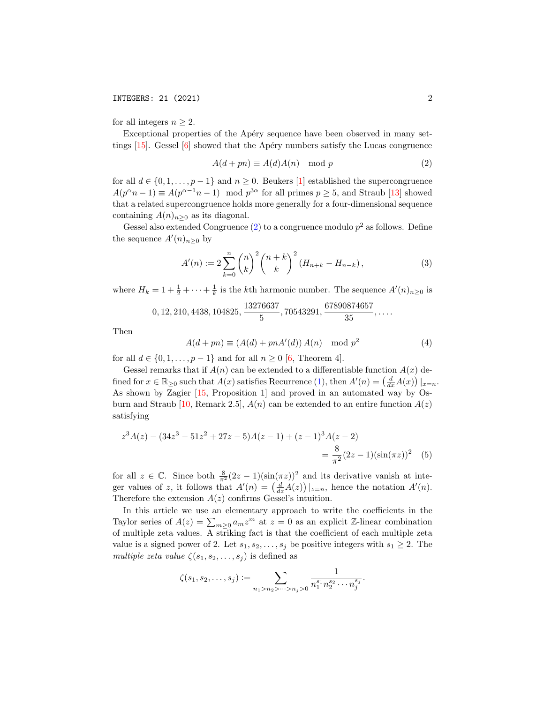for all integers  $n \geq 2$ .

Exceptional properties of the Apéry sequence have been observed in many settings  $[15]$ . Gessel  $[6]$  showed that the Apéry numbers satisfy the Lucas congruence

<span id="page-1-0"></span>
$$
A(d+pn) \equiv A(d)A(n) \mod p \tag{2}
$$

for all  $d \in \{0, 1, \ldots, p-1\}$  and  $n \geq 0$ . Beukers [\[1\]](#page-14-2) established the supercongruence  $A(p^{\alpha}n-1) \equiv A(p^{\alpha-1}n-1) \mod p^{3\alpha}$  for all primes  $p \ge 5$ , and Straub [\[13\]](#page-14-3) showed that a related supercongruence holds more generally for a four-dimensional sequence containing  $A(n)_{n\geq 0}$  as its diagonal.

Gessel also extended Congruence  $(2)$  to a congruence modulo  $p<sup>2</sup>$  as follows. Define the sequence  $A'(n)_{n\geq 0}$  by

<span id="page-1-1"></span>
$$
A'(n) := 2\sum_{k=0}^{n} \binom{n}{k}^{2} \binom{n+k}{k}^{2} (H_{n+k} - H_{n-k}),
$$
\n(3)

where  $H_k = 1 + \frac{1}{2} + \cdots + \frac{1}{k}$  is the k<sup>th</sup> harmonic number. The sequence  $A'(n)_{n \geq 0}$  is

$$
0, 12, 210, 4438, 104825, \frac{13276637}{5}, 70543291, \frac{67890874657}{35}, \dots
$$

Then

<span id="page-1-2"></span>
$$
A(d+pn) \equiv (A(d) + pnA'(d)) A(n) \mod p^2
$$
 (4)

for all  $d \in \{0, 1, \ldots, p-1\}$  and for all  $n \geq 0$  [\[6,](#page-14-1) Theorem 4].

Gessel remarks that if  $A(n)$  can be extended to a differentiable function  $A(x)$  defined for  $x \in \mathbb{R}_{\geq 0}$  such that  $A(x)$  satisfies Recurrence [\(1\)](#page-0-0), then  $A'(n) = \left(\frac{d}{dx}A(x)\right)|_{x=n}$ . As shown by Zagier [\[15,](#page-14-0) Proposition 1] and proved in an automated way by Os-burn and Straub [\[10,](#page-14-4) Remark 2.5],  $A(n)$  can be extended to an entire function  $A(z)$ satisfying

$$
z^{3}A(z) - (34z^{3} - 51z^{2} + 27z - 5)A(z - 1) + (z - 1)^{3}A(z - 2)
$$
  
=  $\frac{8}{\pi^{2}}(2z - 1)(\sin(\pi z))^{2}$  (5)

for all  $z \in \mathbb{C}$ . Since both  $\frac{8}{\pi^2}(2z-1)(\sin(\pi z))^2$  and its derivative vanish at integer values of z, it follows that  $A'(n) = \left(\frac{d}{dz}A(z)\right)|_{z=n}$ , hence the notation  $A'(n)$ . Therefore the extension  $A(z)$  confirms Gessel's intuition.

In this article we use an elementary approach to write the coefficients in the Taylor series of  $A(z) = \sum_{m\geq 0} a_m z^m$  at  $z = 0$  as an explicit Z-linear combination of multiple zeta values. A striking fact is that the coefficient of each multiple zeta value is a signed power of 2. Let  $s_1, s_2, \ldots, s_j$  be positive integers with  $s_1 \geq 2$ . The multiple zeta value  $\zeta(s_1, s_2, \ldots, s_j)$  is defined as

$$
\zeta(s_1, s_2, \dots, s_j) := \sum_{n_1 > n_2 > \dots > n_j > 0} \frac{1}{n_1^{s_1} n_2^{s_2} \cdots n_j^{s_j}}.
$$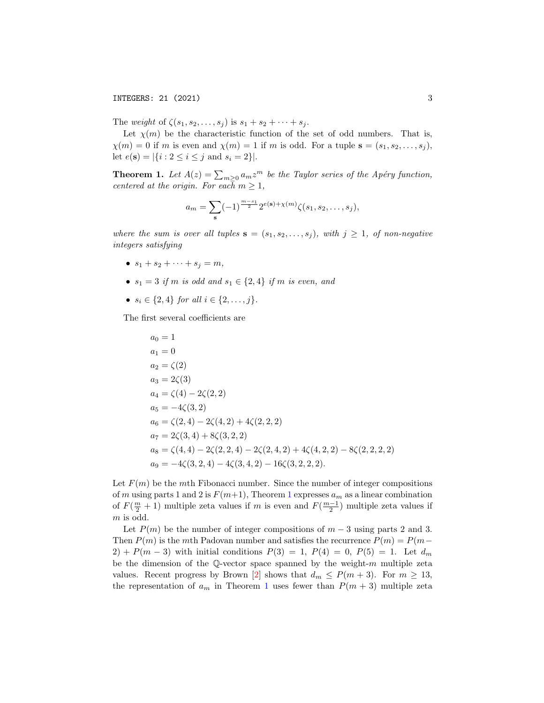The weight of  $\zeta(s_1, s_2, \ldots, s_j)$  is  $s_1 + s_2 + \cdots + s_j$ .

Let  $\chi(m)$  be the characteristic function of the set of odd numbers. That is,  $\chi(m) = 0$  if m is even and  $\chi(m) = 1$  if m is odd. For a tuple  $\mathbf{s} = (s_1, s_2, \dots, s_j)$ , let  $e(\mathbf{s}) = |\{i : 2 \le i \le j \text{ and } s_i = 2\}|.$ 

<span id="page-2-0"></span>**Theorem 1.** Let  $A(z) = \sum_{m\geq 0} a_m z^m$  be the Taylor series of the Apéry function, centered at the origin. For each  $m \geq 1$ ,

$$
a_m = \sum_{s} (-1)^{\frac{m-s_1}{2}} 2^{e(s) + \chi(m)} \zeta(s_1, s_2, \dots, s_j),
$$

where the sum is over all tuples  $\mathbf{s} = (s_1, s_2, \ldots, s_j)$ , with  $j \geq 1$ , of non-negative integers satisfying

- $s_1 + s_2 + \cdots + s_j = m$ ,
- $s_1 = 3$  if m is odd and  $s_1 \in \{2, 4\}$  if m is even, and
- $s_i \in \{2, 4\}$  for all  $i \in \{2, ..., i\}$ .

The first several coefficients are

$$
a_0 = 1
$$
  
\n
$$
a_1 = 0
$$
  
\n
$$
a_2 = \zeta(2)
$$
  
\n
$$
a_3 = 2\zeta(3)
$$
  
\n
$$
a_4 = \zeta(4) - 2\zeta(2, 2)
$$
  
\n
$$
a_5 = -4\zeta(3, 2)
$$
  
\n
$$
a_6 = \zeta(2, 4) - 2\zeta(4, 2) + 4\zeta(2, 2, 2)
$$
  
\n
$$
a_7 = 2\zeta(3, 4) + 8\zeta(3, 2, 2)
$$
  
\n
$$
a_8 = \zeta(4, 4) - 2\zeta(2, 2, 4) - 2\zeta(2, 4, 2) + 4\zeta(4, 2, 2) - 8\zeta(2, 2, 2, 2)
$$
  
\n
$$
a_9 = -4\zeta(3, 2, 4) - 4\zeta(3, 4, 2) - 16\zeta(3, 2, 2, 2).
$$

Let  $F(m)$  be the mth Fibonacci number. Since the number of integer compositions of m using parts [1](#page-2-0) and 2 is  $F(m+1)$ , Theorem 1 expresses  $a_m$  as a linear combination of  $F(\frac{m}{2}+1)$  multiple zeta values if m is even and  $F(\frac{m-1}{2})$  multiple zeta values if m is odd.

Let  $P(m)$  be the number of integer compositions of  $m-3$  using parts 2 and 3. Then  $P(m)$  is the mth Padovan number and satisfies the recurrence  $P(m) = P(m -$ 2) + P(m – 3) with initial conditions  $P(3) = 1$ ,  $P(4) = 0$ ,  $P(5) = 1$ . Let  $d_m$ be the dimension of the Q-vector space spanned by the weight- $m$  multiple zeta values. Recent progress by Brown [\[2\]](#page-14-5) shows that  $d_m \leq P(m+3)$ . For  $m \geq 13$ , the representation of  $a_m$  in Theorem [1](#page-2-0) uses fewer than  $P(m + 3)$  multiple zeta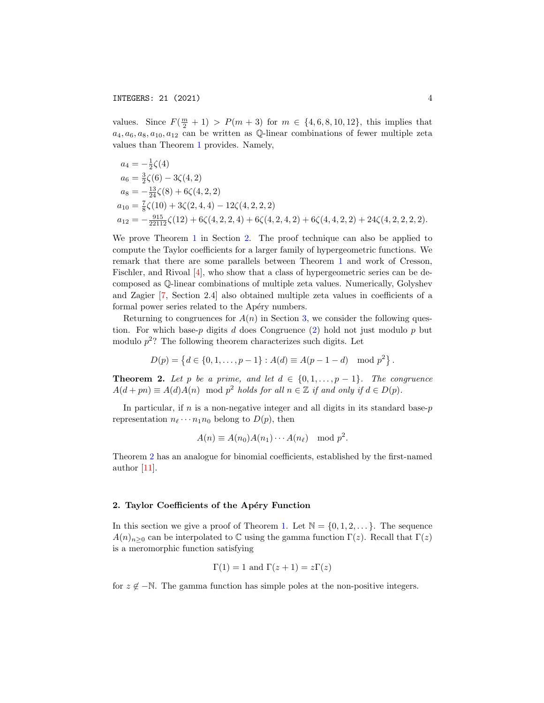values. Since  $F(\frac{m}{2} + 1) > P(m + 3)$  for  $m \in \{4, 6, 8, 10, 12\}$ , this implies that  $a_4, a_6, a_8, a_{10}, a_{12}$  can be written as Q-linear combinations of fewer multiple zeta values than Theorem [1](#page-2-0) provides. Namely,

$$
a_4 = -\frac{1}{2}\zeta(4)
$$
  
\n
$$
a_6 = \frac{3}{2}\zeta(6) - 3\zeta(4, 2)
$$
  
\n
$$
a_8 = -\frac{13}{24}\zeta(8) + 6\zeta(4, 2, 2)
$$
  
\n
$$
a_{10} = \frac{7}{8}\zeta(10) + 3\zeta(2, 4, 4) - 12\zeta(4, 2, 2, 2)
$$
  
\n
$$
a_{12} = -\frac{915}{22112}\zeta(12) + 6\zeta(4, 2, 2, 4) + 6\zeta(4, 2, 4, 2) + 6\zeta(4, 4, 2, 2) + 24\zeta(4, 2, 2, 2, 2).
$$

We prove Theorem [1](#page-2-0) in Section [2.](#page-3-0) The proof technique can also be applied to compute the Taylor coefficients for a larger family of hypergeometric functions. We remark that there are some parallels between Theorem [1](#page-2-0) and work of Cresson, Fischler, and Rivoal [\[4\]](#page-14-6), who show that a class of hypergeometric series can be decomposed as Q-linear combinations of multiple zeta values. Numerically, Golyshev and Zagier [\[7,](#page-14-7) Section 2.4] also obtained multiple zeta values in coefficients of a formal power series related to the Apéry numbers.

Returning to congruences for  $A(n)$  in Section [3,](#page-7-0) we consider the following question. For which base-p digits  $d$  does Congruence  $(2)$  hold not just modulo  $p$  but modulo  $p^2$ ? The following theorem characterizes such digits. Let

$$
D(p) = \{d \in \{0, 1, \dots, p-1\} : A(d) \equiv A(p-1-d) \mod p^2\}.
$$

<span id="page-3-1"></span>**Theorem 2.** Let p be a prime, and let  $d \in \{0, 1, \ldots, p-1\}$ . The congruence  $A(d + pn) \equiv A(d)A(n) \mod p^2$  holds for all  $n \in \mathbb{Z}$  if and only if  $d \in D(p)$ .

In particular, if  $n$  is a non-negative integer and all digits in its standard base- $p$ representation  $n_{\ell} \cdots n_1 n_0$  belong to  $D(p)$ , then

$$
A(n) \equiv A(n_0)A(n_1)\cdots A(n_\ell) \mod p^2.
$$

Theorem [2](#page-3-1) has an analogue for binomial coefficients, established by the first-named author [\[11\]](#page-14-8).

#### <span id="page-3-0"></span>2. Taylor Coefficients of the Apéry Function

In this section we give a proof of Theorem [1.](#page-2-0) Let  $\mathbb{N} = \{0, 1, 2, \ldots\}$ . The sequence  $A(n)_{n>0}$  can be interpolated to C using the gamma function  $\Gamma(z)$ . Recall that  $\Gamma(z)$ is a meromorphic function satisfying

$$
\Gamma(1) = 1
$$
 and  $\Gamma(z + 1) = z\Gamma(z)$ 

for  $z \notin -\mathbb{N}$ . The gamma function has simple poles at the non-positive integers.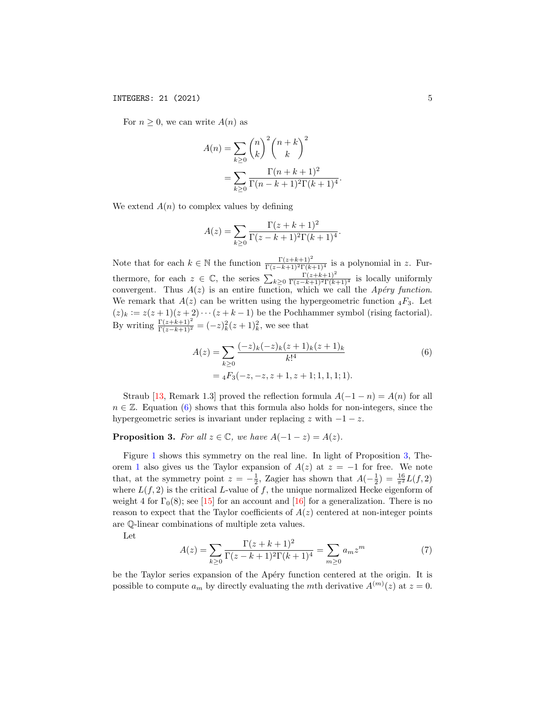For  $n \geq 0$ , we can write  $A(n)$  as

$$
A(n) = \sum_{k \ge 0} {n \choose k}^2 {n+k \choose k}^2
$$
  
= 
$$
\sum_{k \ge 0} \frac{\Gamma(n+k+1)^2}{\Gamma(n-k+1)^2 \Gamma(k+1)^4}.
$$

We extend  $A(n)$  to complex values by defining

$$
A(z) = \sum_{k \ge 0} \frac{\Gamma(z + k + 1)^2}{\Gamma(z - k + 1)^2 \Gamma(k + 1)^4}.
$$

Note that for each  $k \in \mathbb{N}$  the function  $\frac{\Gamma(z+k+1)^2}{\Gamma(z-k+1)^2 \Gamma(k+1)^4}$  is a polynomial in z. Furthermore, for each  $z \in \mathbb{C}$ , the series  $\sum_{k\geq 0} \frac{\Gamma(z+k+1)^2}{\Gamma(z-k+1)^2 \Gamma(k+1)^4}$  is locally uniformly convergent. Thus  $A(z)$  is an entire function, which we call the Apéry function. We remark that  $A(z)$  can be written using the hypergeometric function  ${}_4F_3$ . Let  $(z)_k := z(z+1)(z+2)\cdots(z+k-1)$  be the Pochhammer symbol (rising factorial). By writing  $\frac{\Gamma(z+k+1)^2}{\Gamma(z-k+1)^2} = (-z)_k^2 (z+1)_k^2$ , we see that

<span id="page-4-0"></span>
$$
A(z) = \sum_{k\geq 0} \frac{(-z)_k (-z)_k (z+1)_k (z+1)_k}{k!^4}
$$
  
=  ${}_4F_3(-z, -z, z+1, z+1; 1, 1, 1; 1).$  (6)

Straub [\[13,](#page-14-3) Remark 1.3] proved the reflection formula  $A(-1 - n) = A(n)$  for all  $n \in \mathbb{Z}$ . Equation [\(6\)](#page-4-0) shows that this formula also holds for non-integers, since the hypergeometric series is invariant under replacing  $z$  with  $-1-z$ .

<span id="page-4-1"></span>**Proposition 3.** For all  $z \in \mathbb{C}$ , we have  $A(-1-z) = A(z)$ .

Figure [1](#page-5-0) shows this symmetry on the real line. In light of Proposition [3,](#page-4-1) The-orem [1](#page-2-0) also gives us the Taylor expansion of  $A(z)$  at  $z = -1$  for free. We note that, at the symmetry point  $z = -\frac{1}{2}$ , Zagier has shown that  $A(-\frac{1}{2}) = \frac{16}{\pi^2}L(f, 2)$ where  $L(f, 2)$  is the critical L-value of f, the unique normalized Hecke eigenform of weight 4 for  $\Gamma_0(8)$ ; see [\[15\]](#page-14-0) for an account and [\[16\]](#page-14-9) for a generalization. There is no reason to expect that the Taylor coefficients of  $A(z)$  centered at non-integer points are Q-linear combinations of multiple zeta values.

Let

<span id="page-4-2"></span>
$$
A(z) = \sum_{k \ge 0} \frac{\Gamma(z + k + 1)^2}{\Gamma(z - k + 1)^2 \Gamma(k + 1)^4} = \sum_{m \ge 0} a_m z^m
$$
 (7)

be the Taylor series expansion of the Apéry function centered at the origin. It is possible to compute  $a_m$  by directly evaluating the mth derivative  $A^{(m)}(z)$  at  $z=0$ .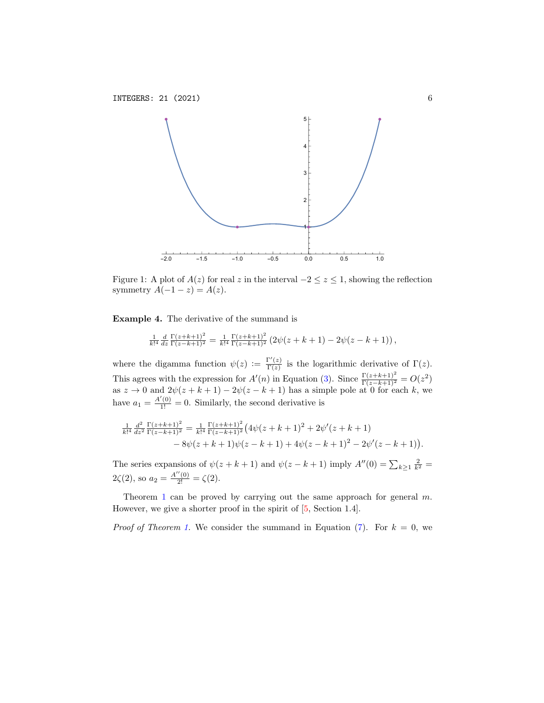

<span id="page-5-0"></span>Figure 1: A plot of  $A(z)$  for real z in the interval  $-2 \le z \le 1$ , showing the reflection symmetry  $A(-1-z) = A(z)$ .

Example 4. The derivative of the summand is

$$
\frac{1}{k!^4} \frac{d}{dz} \frac{\Gamma(z+k+1)^2}{\Gamma(z-k+1)^2} = \frac{1}{k!^4} \frac{\Gamma(z+k+1)^2}{\Gamma(z-k+1)^2} \left(2\psi(z+k+1) - 2\psi(z-k+1)\right),
$$

where the digamma function  $\psi(z) := \frac{\Gamma'(z)}{\Gamma(z)}$  $\frac{\Gamma(z)}{\Gamma(z)}$  is the logarithmic derivative of  $\Gamma(z)$ . This agrees with the expression for  $A'(n)$  in Equation [\(3\)](#page-1-1). Since  $\frac{\Gamma(z+k+1)^2}{\Gamma(z-k+1)^2} = O(z^2)$ as  $z \to 0$  and  $2\psi(z+k+1) - 2\psi(z-k+1)$  has a simple pole at 0 for each k, we have  $a_1 = \frac{A'(0)}{1!} = 0$ . Similarly, the second derivative is

$$
\frac{1}{k!^4} \frac{d^2}{dz^2} \frac{\Gamma(z+k+1)^2}{\Gamma(z-k+1)^2} = \frac{1}{k!^4} \frac{\Gamma(z+k+1)^2}{\Gamma(z-k+1)^2} \left(4\psi(z+k+1)^2 + 2\psi'(z+k+1) - 8\psi(z+k+1)\psi(z-k+1) + 4\psi(z-k+1)^2 - 2\psi'(z-k+1)\right).
$$

The series expansions of  $\psi(z+k+1)$  and  $\psi(z-k+1)$  imply  $A''(0) = \sum_{k\geq 1} \frac{2}{k^2}$  $2\zeta(2)$ , so  $a_2 = \frac{A''(0)}{2!} = \zeta(2)$ .

Theorem [1](#page-2-0) can be proved by carrying out the same approach for general  $m$ . However, we give a shorter proof in the spirit of [\[5,](#page-14-10) Section 1.4].

*Proof of Theorem [1.](#page-2-0)* We consider the summand in Equation [\(7\)](#page-4-2). For  $k = 0$ , we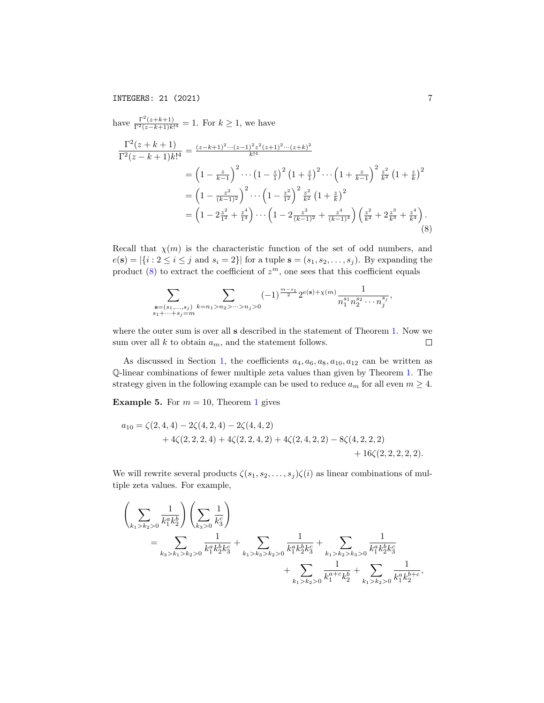have 
$$
\frac{\Gamma^2(z+k+1)}{\Gamma^2(z-k+1)k!^4} = 1.
$$
 For  $k \ge 1$ , we have  
\n
$$
\frac{\Gamma^2(z+k+1)}{\Gamma^2(z-k+1)k!^4} = \frac{(z-k+1)^2 \cdots (z-1)^2 z^2 (z+1)^2 \cdots (z+k)^2}{k!^4}
$$
\n
$$
= \left(1 - \frac{z}{k-1}\right)^2 \cdots \left(1 - \frac{z}{1}\right)^2 \left(1 + \frac{z}{1}\right)^2 \cdots \left(1 + \frac{z}{k-1}\right)^2 \frac{z^2}{k^2} \left(1 + \frac{z}{k}\right)^2
$$
\n
$$
= \left(1 - \frac{z^2}{(k-1)^2}\right)^2 \cdots \left(1 - \frac{z^2}{1^2}\right)^2 \frac{z^2}{k^2} \left(1 + \frac{z}{k}\right)^2
$$
\n
$$
= \left(1 - 2\frac{z^2}{1^2} + \frac{z^4}{1^4}\right) \cdots \left(1 - 2\frac{z^2}{(k-1)^2} + \frac{z^4}{(k-1)^4}\right) \left(\frac{z^2}{k^2} + 2\frac{z^3}{k^3} + \frac{z^4}{k^4}\right).
$$
\n(8)

Recall that  $\chi(m)$  is the characteristic function of the set of odd numbers, and  $e(\mathbf{s}) = |\{i : 2 \le i \le j \text{ and } s_i = 2\}|$  for a tuple  $\mathbf{s} = (s_1, s_2, \dots, s_j)$ . By expanding the product  $(8)$  to extract the coefficient of  $z<sup>m</sup>$ , one sees that this coefficient equals

<span id="page-6-0"></span>
$$
\sum_{\substack{\mathbf{s}=(s_1,\ldots,s_j) \\ s_1+\cdots+s_j=m}} \sum_{k=n_1>n_2>\cdots>n_j>0} (-1)^{\frac{m-s_1}{2}} 2^{e(\mathbf{s})+\chi(m)} \frac{1}{n_1^{s_1} n_2^{s_2}\cdots n_j^{s_j}},
$$

where the outer sum is over all s described in the statement of Theorem [1.](#page-2-0) Now we  $\Box$ sum over all  $k$  to obtain  $a_m$ , and the statement follows.

As discussed in Section [1,](#page-0-1) the coefficients  $a_4, a_6, a_8, a_{10}, a_{12}$  can be written as Q-linear combinations of fewer multiple zeta values than given by Theorem [1.](#page-2-0) The strategy given in the following example can be used to reduce  $a_m$  for all even  $m \geq 4$ .

**Example 5.** For  $m = 10$  $m = 10$  $m = 10$ , Theorem 1 gives

$$
a_{10} = \zeta(2,4,4) - 2\zeta(4,2,4) - 2\zeta(4,4,2) + 4\zeta(2,2,2,4) + 4\zeta(2,2,4,2) + 4\zeta(2,4,2,2) - 8\zeta(4,2,2,2,2) + 16\zeta(2,2,2,2,2).
$$

We will rewrite several products  $\zeta(s_1, s_2, \ldots, s_j) \zeta(i)$  as linear combinations of multiple zeta values. For example,

$$
\left(\sum_{k_1>k_2>0} \frac{1}{k_1^a k_2^b} \right) \left(\sum_{k_3>0} \frac{1}{k_3^c} \right)
$$
  
= 
$$
\sum_{k_3>k_1>k_2>0} \frac{1}{k_1^a k_2^b k_3^c} + \sum_{k_1>k_3>k_2>0} \frac{1}{k_1^a k_2^b k_3^c} + \sum_{k_1>k_2>k_3>0} \frac{1}{k_1^a k_2^b k_3^c} + \sum_{k_1>k_2>0} \frac{1}{k_1^a k_2^b k_3^c} + \sum_{k_1>k_2>0} \frac{1}{k_1^a k_2^b k_2^c} + \sum_{k_1>k_2>0} \frac{1}{k_1^a k_2^b k_2^c}.
$$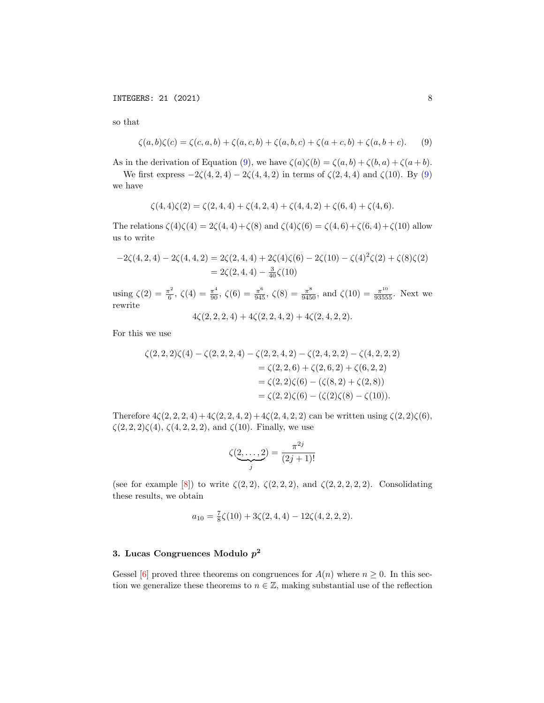so that

$$
\zeta(a, b)\zeta(c) = \zeta(c, a, b) + \zeta(a, c, b) + \zeta(a, b, c) + \zeta(a + c, b) + \zeta(a, b + c).
$$
 (9)

As in the derivation of Equation [\(9\)](#page-7-1), we have  $\zeta(a)\zeta(b) = \zeta(a,b) + \zeta(b,a) + \zeta(a+b)$ .

We first express  $-2\zeta(4, 2, 4) - 2\zeta(4, 4, 2)$  in terms of  $\zeta(2, 4, 4)$  and  $\zeta(10)$ . By [\(9\)](#page-7-1) we have

<span id="page-7-1"></span>
$$
\zeta(4,4)\zeta(2) = \zeta(2,4,4) + \zeta(4,2,4) + \zeta(4,4,2) + \zeta(6,4) + \zeta(4,6).
$$

The relations  $\zeta(4)\zeta(4) = 2\zeta(4,4) + \zeta(8)$  and  $\zeta(4)\zeta(6) = \zeta(4,6) + \zeta(6,4) + \zeta(10)$  allow us to write

$$
-2\zeta(4,2,4) - 2\zeta(4,4,2) = 2\zeta(2,4,4) + 2\zeta(4)\zeta(6) - 2\zeta(10) - \zeta(4)^2\zeta(2) + \zeta(8)\zeta(2)
$$
  
= 2\zeta(2,4,4) -  $\frac{3}{40}\zeta(10)$ 

using  $\zeta(2) = \frac{\pi^2}{6}$  $\frac{\pi^2}{6}$ ,  $\zeta(4) = \frac{\pi^4}{90}$ ,  $\zeta(6) = \frac{\pi^6}{945}$ ,  $\zeta(8) = \frac{\pi^8}{9450}$ , and  $\zeta(10) = \frac{\pi^{10}}{93555}$ . Next we rewrite  $4\zeta(2, 2, 2, 4) + 4\zeta(2, 2, 4, 2) + 4\zeta(2, 4, 2, 2).$ 

For this we use

$$
\zeta(2,2,2)\zeta(4) - \zeta(2,2,2,4) - \zeta(2,2,4,2) - \zeta(2,4,2,2) - \zeta(4,2,2,2)
$$
  
=  $\zeta(2,2,6) + \zeta(2,6,2) + \zeta(6,2,2)$   
=  $\zeta(2,2)\zeta(6) - (\zeta(8,2) + \zeta(2,8))$   
=  $\zeta(2,2)\zeta(6) - (\zeta(2)\zeta(8) - \zeta(10)).$ 

Therefore  $4\zeta(2, 2, 2, 4) + 4\zeta(2, 2, 4, 2) + 4\zeta(2, 4, 2, 2)$  can be written using  $\zeta(2, 2)\zeta(6)$ ,  $\zeta(2, 2, 2)\zeta(4), \zeta(4, 2, 2, 2),$  and  $\zeta(10)$ . Finally, we use

$$
\zeta(\underbrace{2,\ldots,2}_{j}) = \frac{\pi^{2j}}{(2j+1)!}
$$

(see for example [\[8\]](#page-14-11)) to write  $\zeta(2, 2), \zeta(2, 2, 2),$  and  $\zeta(2, 2, 2, 2, 2)$ . Consolidating these results, we obtain

$$
a_{10} = \frac{7}{8}\zeta(10) + 3\zeta(2,4,4) - 12\zeta(4,2,2,2).
$$

## <span id="page-7-0"></span>3. Lucas Congruences Modulo  $p^2$

Gessel [\[6\]](#page-14-1) proved three theorems on congruences for  $A(n)$  where  $n \geq 0$ . In this section we generalize these theorems to  $n \in \mathbb{Z}$ , making substantial use of the reflection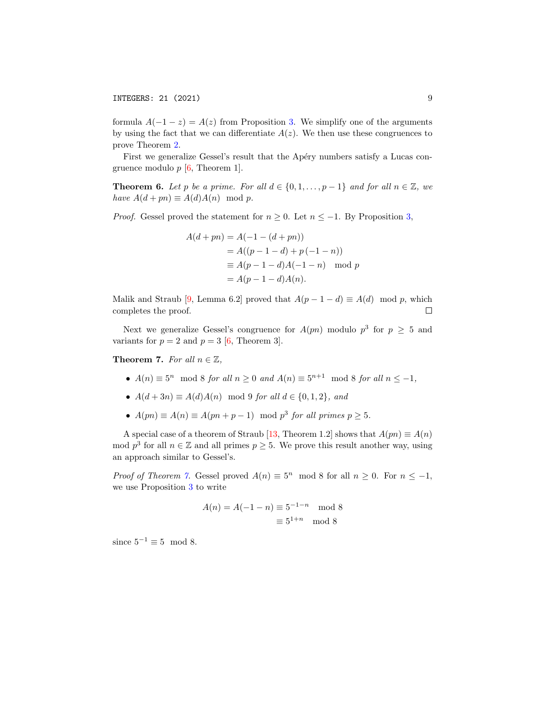formula  $A(-1-z) = A(z)$  from Proposition [3.](#page-4-1) We simplify one of the arguments by using the fact that we can differentiate  $A(z)$ . We then use these congruences to prove Theorem [2.](#page-3-1)

First we generalize Gessel's result that the Apéry numbers satisfy a Lucas congruence modulo  $p \, \vert 6$ , Theorem 1.

<span id="page-8-1"></span>**Theorem 6.** Let p be a prime. For all  $d \in \{0, 1, \ldots, p-1\}$  and for all  $n \in \mathbb{Z}$ , we have  $A(d + pn) \equiv A(d)A(n) \mod p$ .

*Proof.* Gessel proved the statement for  $n \geq 0$ . Let  $n \leq -1$ . By Proposition [3,](#page-4-1)

$$
A(d + pn) = A(-1 - (d + pn))
$$
  
=  $A((p - 1 - d) + p(-1 - n))$   
 $\equiv A(p - 1 - d)A(-1 - n) \mod p$   
=  $A(p - 1 - d)A(n)$ .

Malik and Straub [\[9,](#page-14-12) Lemma 6.2] proved that  $A(p-1-d) \equiv A(d) \mod p$ , which completes the proof.  $\Box$ 

Next we generalize Gessel's congruence for  $A(pn)$  modulo  $p^3$  for  $p \geq 5$  and variants for  $p = 2$  and  $p = 3$  [\[6,](#page-14-1) Theorem 3].

<span id="page-8-0"></span>**Theorem 7.** For all  $n \in \mathbb{Z}$ ,

- $A(n) \equiv 5^n \mod 8$  for all  $n \ge 0$  and  $A(n) \equiv 5^{n+1} \mod 8$  for all  $n \le -1$ ,
- $A(d+3n) \equiv A(d)A(n) \mod 9$  for all  $d \in \{0, 1, 2\}$ , and
- $A(pn) \equiv A(n) \equiv A(pn + p 1) \mod p^3$  for all primes  $p \ge 5$ .

A special case of a theorem of Straub [\[13,](#page-14-3) Theorem 1.2] shows that  $A(pn) \equiv A(n)$ mod  $p^3$  for all  $n \in \mathbb{Z}$  and all primes  $p \geq 5$ . We prove this result another way, using an approach similar to Gessel's.

*Proof of Theorem [7.](#page-8-0)* Gessel proved  $A(n) \equiv 5^n \mod 8$  for all  $n \ge 0$ . For  $n \le -1$ , we use Proposition [3](#page-4-1) to write

$$
A(n) = A(-1 - n) \equiv 5^{-1-n} \mod 8
$$

$$
\equiv 5^{1+n} \mod 8
$$

since  $5^{-1} \equiv 5 \mod 8$ .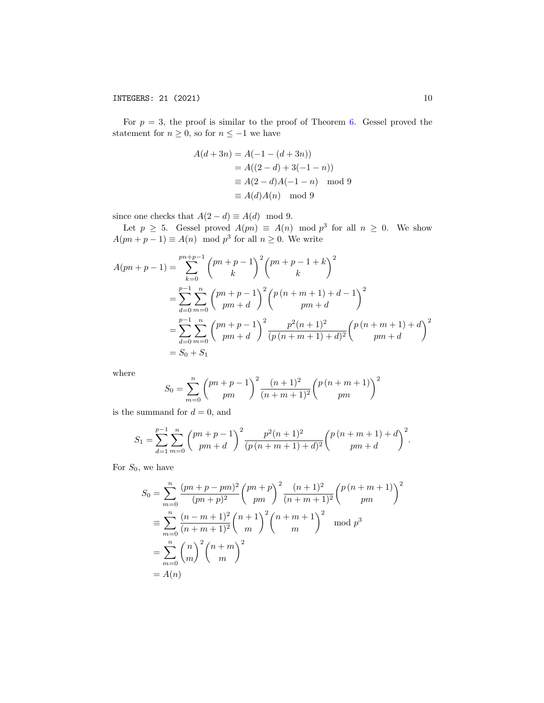For  $p = 3$ , the proof is similar to the proof of Theorem [6.](#page-8-1) Gessel proved the statement for  $n \geq 0$ , so for  $n \leq -1$  we have

$$
A(d+3n) = A(-1 - (d+3n))
$$
  
=  $A((2-d) + 3(-1-n))$   
 $\equiv A(2-d)A(-1-n) \mod 9$   
 $\equiv A(d)A(n) \mod 9$ 

since one checks that  $A(2 - d) \equiv A(d) \mod 9$ .

Let  $p \geq 5$ . Gessel proved  $A(pn) \equiv A(n) \mod p^3$  for all  $n \geq 0$ . We show  $A(pn+p-1) \equiv A(n) \mod p^3$  for all  $n \geq 0$ . We write

$$
A(pn+p-1) = \sum_{k=0}^{pn+p-1} {pn+p-1 \choose k}^2 {pn+p-1+k \choose k}^2
$$
  
= 
$$
\sum_{d=0}^{p-1} \sum_{m=0}^n {pn+p-1 \choose pm+d}^2 {p(n+m+1)+d-1 \choose pm+d}^2
$$
  
= 
$$
\sum_{d=0}^{p-1} \sum_{m=0}^n {pn+p-1 \choose pm+d}^2 \frac{p^2(n+1)^2}{(p(n+m+1)+d)^2} {p(n+m+1)+d \choose pm+d}^2
$$
  
= 
$$
S_0 + S_1
$$

where

$$
S_0 = \sum_{m=0}^{n} {pn + p - 1 \choose pm}^2 \frac{(n+1)^2}{(n+m+1)^2} {p(n+m+1) \choose pm}^2
$$

is the summand for  $d = 0$ , and

$$
S_1 = \sum_{d=1}^{p-1} \sum_{m=0}^{n} {pn + p - 1 \choose pm + d}^2 \frac{p^2(n+1)^2}{(p(n+m+1) + d)^2} {p(n+m+1) + d \choose pm + d}^2.
$$

For  $S_0$ , we have

$$
S_0 = \sum_{m=0}^n \frac{(pn+p-pm)^2}{(pn+p)^2} {pn+p \choose pm}^2 \frac{(n+1)^2}{(n+m+1)^2} {p(n+m+1) \choose pm}^2
$$
  
\n
$$
\equiv \sum_{m=0}^n \frac{(n-m+1)^2}{(n+m+1)^2} {n+1 \choose m}^2 {n+m+1 \choose m}^2 \mod p^3
$$
  
\n
$$
= \sum_{m=0}^n {n \choose m}^2 {n+m \choose m}^2
$$
  
\n
$$
= A(n)
$$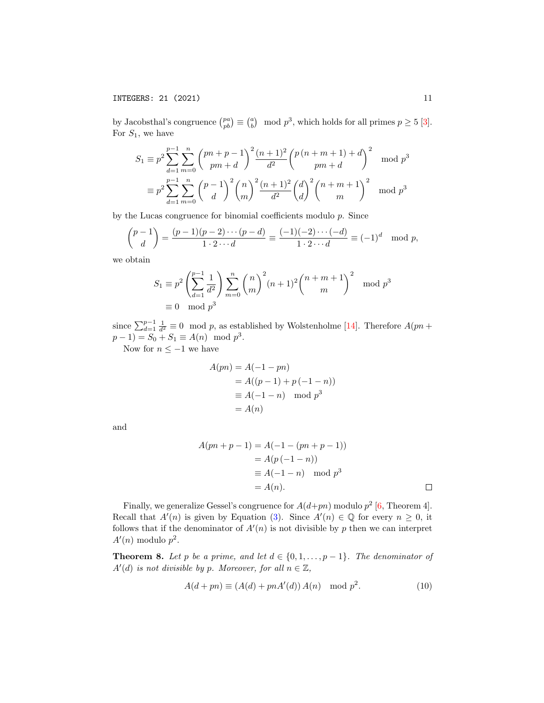by Jacobsthal's congruence  $\binom{pa}{pb} \equiv \binom{a}{b} \mod p^3$ , which holds for all primes  $p \ge 5$  [\[3\]](#page-14-13). For  $S_1$ , we have

$$
S_1 \equiv p^2 \sum_{d=1}^{p-1} \sum_{m=0}^n {pn + p - 1 \choose pm + d}^2 \frac{(n+1)^2}{d^2} {p(n+m+1) + d \choose pm + d}^2 \mod p^3
$$
  

$$
\equiv p^2 \sum_{d=1}^{p-1} \sum_{m=0}^n {p-1 \choose d}^2 {n \choose m}^2 \frac{(n+1)^2}{d^2} {d \choose d}^2 {n+m+1 \choose m}^2 \mod p^3
$$

by the Lucas congruence for binomial coefficients modulo p. Since

$$
\binom{p-1}{d} = \frac{(p-1)(p-2)\cdots(p-d)}{1\cdot 2\cdots d} \equiv \frac{(-1)(-2)\cdots(-d)}{1\cdot 2\cdots d} \equiv (-1)^d \mod p,
$$

we obtain

$$
S_1 \equiv p^2 \left( \sum_{d=1}^{p-1} \frac{1}{d^2} \right) \sum_{m=0}^{n} {n \choose m}^2 (n+1)^2 {n+m+1 \choose m}^2 \mod p^3
$$
  
\n
$$
\equiv 0 \mod p^3
$$

since  $\sum_{d=1}^{p-1} \frac{1}{d^2} \equiv 0 \mod p$ , as established by Wolstenholme [\[14\]](#page-14-14). Therefore  $A(pn + 1)$  $p-1$ ) =  $S_0 + S_1 \equiv A(n) \mod p^3$ . Now for  $n \leq -1$  we have

$$
A(pn) = A(-1 - pn)
$$
  
=  $A((p - 1) + p(-1 - n))$   
 $\equiv A(-1 - n) \mod p^3$   
=  $A(n)$ 

and

$$
A(pn + p - 1) = A(-1 - (pn + p - 1))
$$
  
=  $A(p(-1 - n))$   
 $\equiv A(-1 - n) \mod p^3$   
=  $A(n)$ .

Finally, we generalize Gessel's congruence for  $A(d+pn)$  modulo  $p^2$  [\[6,](#page-14-1) Theorem 4]. Recall that  $A'(n)$  is given by Equation [\(3\)](#page-1-1). Since  $A'(n) \in \mathbb{Q}$  for every  $n \geq 0$ , it follows that if the denominator of  $A'(n)$  is not divisible by p then we can interpret  $A'(n)$  modulo  $p^2$ .

<span id="page-10-0"></span>**Theorem 8.** Let p be a prime, and let  $d \in \{0, 1, \ldots, p-1\}$ . The denominator of  $A'(d)$  is not divisible by p. Moreover, for all  $n \in \mathbb{Z}$ ,

$$
A(d+pn) \equiv (A(d) + pnA'(d)) A(n) \mod p^2.
$$
 (10)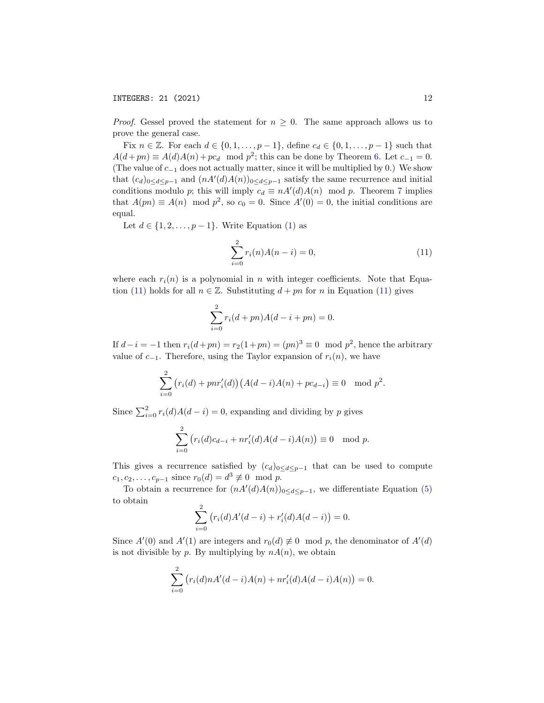*Proof.* Gessel proved the statement for  $n \geq 0$ . The same approach allows us to prove the general case.

Fix  $n \in \mathbb{Z}$ . For each  $d \in \{0, 1, \ldots, p-1\}$ , define  $c_d \in \{0, 1, \ldots, p-1\}$  such that  $A(d + pn) \equiv A(d)A(n) + pc_d \mod p^2$ ; this can be done by Theorem [6.](#page-8-1) Let  $c_{-1} = 0$ . (The value of  $c_{-1}$  does not actually matter, since it will be multiplied by 0.) We show that  $(c_d)_{0 \le d \le p-1}$  and  $(nA'(d)A(n))_{0 \le d \le p-1}$  satisfy the same recurrence and initial conditions modulo p; this will imply  $c_d \equiv nA'(d)A(n) \mod p$ . Theorem [7](#page-8-0) implies that  $A(pn) \equiv A(n) \mod p^2$ , so  $c_0 = 0$ . Since  $A'(0) = 0$ , the initial conditions are equal.

Let  $d \in \{1, 2, \ldots, p-1\}$ . Write Equation [\(1\)](#page-0-0) as

<span id="page-11-0"></span>
$$
\sum_{i=0}^{2} r_i(n)A(n-i) = 0,
$$
\n(11)

where each  $r_i(n)$  is a polynomial in n with integer coefficients. Note that Equa-tion [\(11\)](#page-11-0) holds for all  $n \in \mathbb{Z}$ . Substituting  $d + pn$  for n in Equation (11) gives

$$
\sum_{i=0}^{2} r_i (d + pn) A(d - i + pn) = 0.
$$

If  $d-i = -1$  then  $r_i(d+pn) = r_2(1+pn) = (pn)^3 \equiv 0 \mod p^2$ , hence the arbitrary value of  $c_{-1}$ . Therefore, using the Taylor expansion of  $r_i(n)$ , we have

$$
\sum_{i=0}^{2} (r_i(d) + pn r'_i(d)) (A(d-i)A(n) + pc_{d-i}) \equiv 0 \mod p^2.
$$

Since  $\sum_{i=0}^{2} r_i(d)A(d-i) = 0$ , expanding and dividing by p gives

$$
\sum_{i=0}^{2} (r_i(d)c_{d-i} + nr'_i(d)A(d-i)A(n)) \equiv 0 \mod p.
$$

This gives a recurrence satisfied by  $(c_d)_{0 \leq d \leq p-1}$  that can be used to compute  $c_1, c_2, \ldots, c_{p-1}$  since  $r_0(d) = d^3 \not\equiv 0 \mod p$ .

To obtain a recurrence for  $(nA'(d)A(n))_{0 \leq d \leq p-1}$ , we differentiate Equation [\(5\)](#page-1-2) to obtain

$$
\sum_{i=0}^{2} (r_i(d)A'(d-i) + r'_i(d)A(d-i)) = 0.
$$

Since  $A'(0)$  and  $A'(1)$  are integers and  $r_0(d) \neq 0 \mod p$ , the denominator of  $A'(d)$ is not divisible by p. By multiplying by  $nA(n)$ , we obtain

$$
\sum_{i=0}^{2} (r_i(d)nA'(d-i)A(n) + nr'_i(d)A(d-i)A(n)) = 0.
$$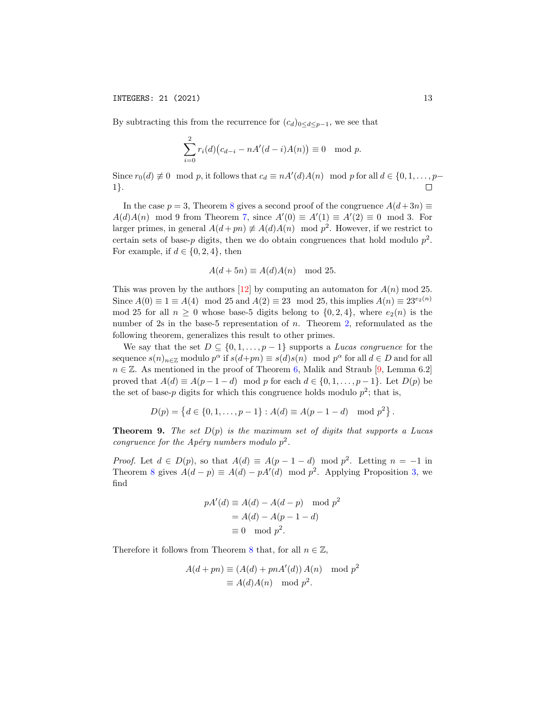By subtracting this from the recurrence for  $(c_d)_{0 \leq d \leq p-1}$ , we see that

$$
\sum_{i=0}^{2} r_i(d) (c_{d-i} - nA'(d-i)A(n)) \equiv 0 \mod p.
$$

Since  $r_0(d) \not\equiv 0 \mod p$ , it follows that  $c_d \equiv nA'(d)A(n) \mod p$  for all  $d \in \{0, 1, \ldots, p-\}$ 1}.  $\Box$ 

In the case  $p = 3$ , Theorem [8](#page-10-0) gives a second proof of the congruence  $A(d+3n) \equiv$  $A(d)A(n) \mod 9$  from Theorem [7,](#page-8-0) since  $A'(0) \equiv A'(1) \equiv A'(2) \equiv 0 \mod 3$ . For larger primes, in general  $A(d + pn) \neq A(d)A(n) \mod p^2$ . However, if we restrict to certain sets of base-p digits, then we do obtain congruences that hold modulo  $p^2$ . For example, if  $d \in \{0, 2, 4\}$ , then

$$
A(d+5n) \equiv A(d)A(n) \mod 25.
$$

This was proven by the authors [\[12\]](#page-14-15) by computing an automaton for  $A(n)$  mod 25. Since  $A(0) \equiv 1 \equiv A(4) \mod 25$  and  $A(2) \equiv 23 \mod 25$ , this implies  $A(n) \equiv 23^{e_2(n)}$ mod 25 for all  $n \geq 0$  whose base-5 digits belong to  $\{0, 2, 4\}$ , where  $e_2(n)$  is the number of 2s in the base-5 representation of n. Theorem [2,](#page-3-1) reformulated as the following theorem, generalizes this result to other primes.

We say that the set  $D \subseteq \{0, 1, \ldots, p-1\}$  supports a *Lucas congruence* for the sequence  $s(n)_{n\in\mathbb{Z}}$  modulo  $p^{\alpha}$  if  $s(d+pn) \equiv s(d)s(n) \mod p^{\alpha}$  for all  $d \in D$  and for all  $n \in \mathbb{Z}$ . As mentioned in the proof of Theorem [6,](#page-8-1) Malik and Straub [\[9,](#page-14-12) Lemma 6.2] proved that  $A(d) \equiv A(p-1-d) \mod p$  for each  $d \in \{0,1,\ldots,p-1\}$ . Let  $D(p)$  be the set of base-p digits for which this congruence holds modulo  $p^2$ ; that is,

$$
D(p) = \{d \in \{0, 1, \dots, p-1\} : A(d) \equiv A(p-1-d) \mod p^2\}.
$$

**Theorem 9.** The set  $D(p)$  is the maximum set of digits that supports a Lucas congruence for the Apéry numbers modulo  $p^2$ .

*Proof.* Let  $d \in D(p)$ , so that  $A(d) \equiv A(p-1-d) \mod p^2$ . Letting  $n = -1$  in Theorem [8](#page-10-0) gives  $A(d-p) \equiv A(d) - pA'(d) \mod p^2$ . Applying Proposition [3,](#page-4-1) we find

$$
pA'(d) \equiv A(d) - A(d - p) \mod p^2
$$

$$
= A(d) - A(p - 1 - d)
$$

$$
\equiv 0 \mod p^2.
$$

Therefore it follows from Theorem [8](#page-10-0) that, for all  $n \in \mathbb{Z}$ ,

$$
A(d + pn) \equiv (A(d) + pnA'(d)) A(n) \mod p^2
$$
  

$$
\equiv A(d)A(n) \mod p^2.
$$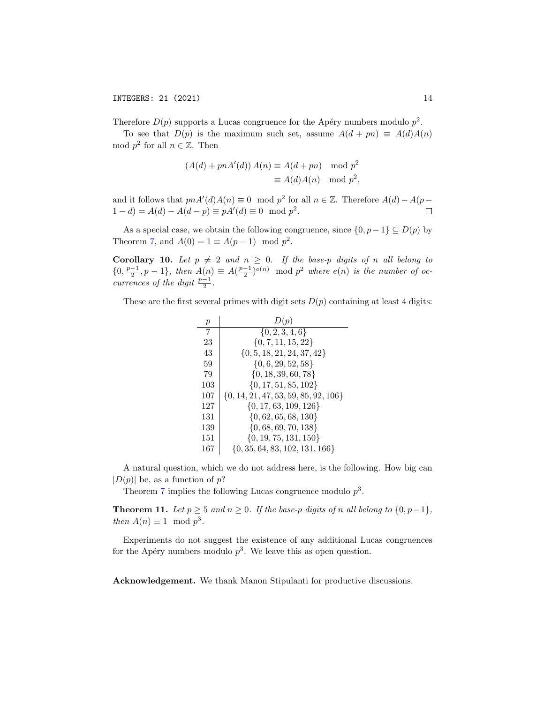Therefore  $D(p)$  supports a Lucas congruence for the Apéry numbers modulo  $p^2$ .

To see that  $D(p)$  is the maximum such set, assume  $A(d + pn) \equiv A(d)A(n)$ mod  $p^2$  for all  $n \in \mathbb{Z}$ . Then

$$
(A(d) + pnA'(d)) A(n) \equiv A(d + pn) \mod p^2
$$
  

$$
\equiv A(d)A(n) \mod p^2,
$$

and it follows that  $p n A'(d) A(n) \equiv 0 \mod p^2$  for all  $n \in \mathbb{Z}$ . Therefore  $A(d) - A(p 1 - d = A(d) - A(d - p) \equiv pA'(d) \equiv 0 \mod p^2$ .  $\Box$ 

As a special case, we obtain the following congruence, since  $\{0, p-1\} \subseteq D(p)$  by Theorem [7,](#page-8-0) and  $A(0) = 1 \equiv A(p-1) \mod p^2$ .

Corollary 10. Let  $p \neq 2$  and  $n \geq 0$ . If the base-p digits of n all belong to  $\{0, \frac{p-1}{2}, p-1\}$ , then  $A(n) \equiv A(\frac{p-1}{2})^{e(n)} \mod p^2$  where  $e(n)$  is the number of occurrences of the digit  $\frac{p-1}{2}$ .

These are the first several primes with digit sets  $D(p)$  containing at least 4 digits:

| $\boldsymbol{p}$ | D(p)                                     |
|------------------|------------------------------------------|
| 7                | $\{0, 2, 3, 4, 6\}$                      |
| 23               | $\{0, 7, 11, 15, 22\}$                   |
| 43               | $\{0, 5, 18, 21, 24, 37, 42\}$           |
| 59               | $\{0, 6, 29, 52, 58\}$                   |
| 79               | $\{0, 18, 39, 60, 78\}$                  |
| 103              | $\{0, 17, 51, 85, 102\}$                 |
| 107              | $\{0, 14, 21, 47, 53, 59, 85, 92, 106\}$ |
| 127              | $\{0, 17, 63, 109, 126\}$                |
| 131              | $\{0, 62, 65, 68, 130\}$                 |
| 139              | $\{0, 68, 69, 70, 138\}$                 |
| 151              | $\{0, 19, 75, 131, 150\}$                |
| 167              | $\{0, 35, 64, 83, 102, 131, 166\}$       |

A natural question, which we do not address here, is the following. How big can  $|D(p)|$  be, as a function of p?

Theorem [7](#page-8-0) implies the following Lucas congruence modulo  $p^3$ .

**Theorem 11.** Let  $p \ge 5$  and  $n \ge 0$ . If the base-p digits of n all belong to  $\{0, p-1\}$ , then  $A(n) \equiv 1 \mod p^3$ .

Experiments do not suggest the existence of any additional Lucas congruences for the Apéry numbers modulo  $p^3$ . We leave this as open question.

Acknowledgement. We thank Manon Stipulanti for productive discussions.